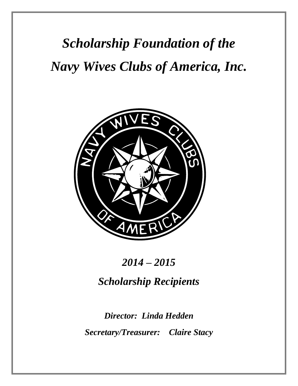*Scholarship Foundation of the Navy Wives Clubs of America, Inc.*



# *2014 – 2015*

*Scholarship Recipients*

*Director: Linda Hedden Secretary/Treasurer: Claire Stacy*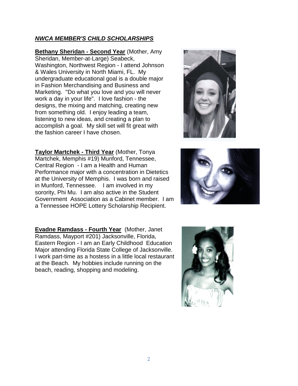#### *NWCA MEMBER'S CHILD SCHOLARSHIPS*

**Bethany Sheridan - Second Year** (Mother, Amy Sheridan, Member-at-Large) Seabeck, Washington, Northwest Region - I attend Johnson & Wales University in North Miami, FL. My undergraduate educational goal is a double major in Fashion Merchandising and Business and Marketing. "Do what you love and you will never work a day in your life". I love fashion - the designs, the mixing and matching, creating new from something old. I enjoy leading a team, listening to new ideas, and creating a plan to accomplish a goal. My skill set will fit great with the fashion career I have chosen.

**Taylor Martchek - Third Year** (Mother, Tonya Martchek, Memphis #19) Munford, Tennessee, Central Region - I am a Health and Human Performance major with a concentration in Dietetics at the University of Memphis. I was born and raised in Munford, Tennessee. I am involved in my sorority, Phi Mu. I am also active in the Student Government Association as a Cabinet member. I am a Tennessee HOPE Lottery Scholarship Recipient.





**Evadne Ramdass - Fourth Year** (Mother, Janet Ramdass, Mayport #201) Jacksonville, Florida, Eastern Region - I am an Early Childhood Education Major attending Florida State College of Jacksonville. I work part-time as a hostess in a little local restaurant at the Beach. My hobbies include running on the beach, reading, shopping and modeling.

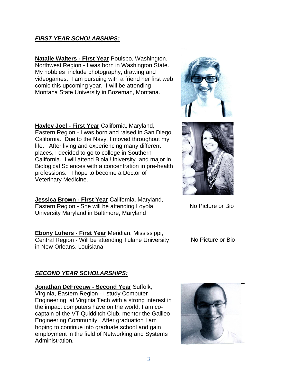#### *FIRST YEAR SCHOLARSHIPS:*

**Natalie Walters - First Year** Poulsbo, Washington, Northwest Region - I was born in Washington State. My hobbies include photography, drawing and videogames. I am pursuing with a friend her first web comic this upcoming year. I will be attending Montana State University in Bozeman, Montana.

**Hayley Joel - First Year** California, Maryland, Eastern Region - I was born and raised in San Diego, California. Due to the Navy, I moved throughout my life. After living and experiencing many different places, I decided to go to college in Southern California. I will attend Biola University and major in Biological Sciences with a concentration in pre-health professions. I hope to become a Doctor of Veterinary Medicine.

**Jessica Brown - First Year** California, Maryland, Eastern Region - She will be attending Loyola University Maryland in Baltimore, Maryland

**Ebony Luhers - First Year** Meridian, Mississippi, Central Region - Will be attending Tulane University in New Orleans, Louisiana.

#### *SECOND YEAR SCHOLARSHIPS:*

**Jonathan DeFreeuw - Second Year** Suffolk, Virginia, Eastern Region - I study Computer Engineering at Virginia Tech with a strong interest in the impact computers have on the world. I am cocaptain of the VT Quidditch Club, mentor the Galileo Engineering Community. After graduation I am hoping to continue into graduate school and gain employment in the field of Networking and Systems Administration.







No Picture or Bio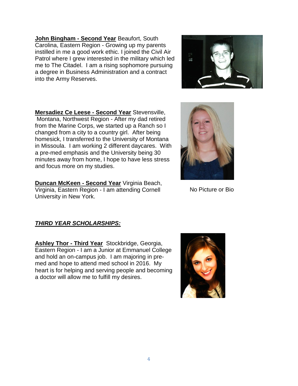**John Bingham - Second Year** Beaufort, South Carolina, Eastern Region - Growing up my parents instilled in me a good work ethic. I joined the Civil Air Patrol where I grew interested in the military which led me to The Citadel. I am a rising sophomore pursuing a degree in Business Administration and a contract into the Army Reserves.

**Mersadiez Ce Leese - Second Year** Stevensville, Montana, Northwest Region - After my dad retired from the Marine Corps, we started up a Ranch so I changed from a city to a country girl. After being homesick, I transferred to the University of Montana in Missoula. I am working 2 different daycares. With a pre-med emphasis and the University being 30 minutes away from home, I hope to have less stress and focus more on my studies.

**Duncan McKeen - Second Year** Virginia Beach, Virginia, Eastern Region - I am attending Cornell University in New York.

## *THIRD YEAR SCHOLARSHIPS:*

**Ashley Thor - Third Year** Stockbridge, Georgia, Eastern Region - I am a Junior at Emmanuel College and hold an on-campus job. I am majoring in premed and hope to attend med school in 2016. My heart is for helping and serving people and becoming a doctor will allow me to fulfill my desires.





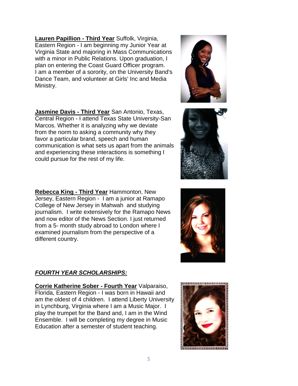**Lauren Papillion - Third Year** Suffolk, Virginia, Eastern Region - I am beginning my Junior Year at Virginia State and majoring in Mass Communications with a minor in Public Relations. Upon graduation, I plan on entering the Coast Guard Officer program. I am a member of a sorority, on the University Band's Dance Team, and volunteer at Girls' Inc and Media Ministry.

**Jasmine Davis - Third Year** San Antonio, Texas, Central Region - I attend Texas State University-San Marcos. Whether it is analyzing why we deviate from the norm to asking a community why they favor a particular brand, speech and human communication is what sets us apart from the animals and experiencing these interactions is something I could pursue for the rest of my life.

**Rebecca King - Third Year** Hammonton, New Jersey, Eastern Region - I am a junior at Ramapo College of New Jersey in Mahwah and studying journalism. I write extensively for the Ramapo News and now editor of the News Section. I just returned from a 5- month study abroad to London where I examined journalism from the perspective of a different country.

# *FOURTH YEAR SCHOLARSHIPS:*

**Corrie Katherine Sober - Fourth Year** Valparaiso, Florida, Eastern Region - I was born in Hawaii and am the oldest of 4 children. I attend Liberty University in Lynchburg, Virginia where I am a Music Major. I play the trumpet for the Band and, I am in the Wind Ensemble. I will be completing my degree in Music Education after a semester of student teaching.



\*\*\*\*\*\*\*\*\*\*\*\*\*\*\*\*\*\*\*\*\*\*\*\*





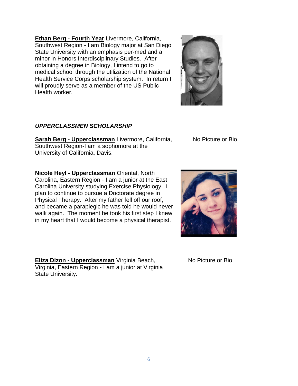**Ethan Berg - Fourth Year** Livermore, California, Southwest Region - I am Biology major at San Diego State University with an emphasis per-med and a minor in Honors Interdisciplinary Studies. After obtaining a degree in Biology, I intend to go to medical school through the utilization of the National Health Service Corps scholarship system. In return I will proudly serve as a member of the US Public Health worker.

#### *UPPERCLASSMEN SCHOLARSHIP*

**Sarah Berg - Upperclassman** Livermore, California, Southwest Region-I am a sophomore at the University of California, Davis.

**Nicole Heyl - Upperclassman** Oriental, North Carolina, Eastern Region - I am a junior at the East Carolina University studying Exercise Physiology. I plan to continue to pursue a Doctorate degree in Physical Therapy. After my father fell off our roof, and became a paraplegic he was told he would never walk again. The moment he took his first step I knew in my heart that I would become a physical therapist.

**Eliza Dizon - Upperclassman** Virginia Beach, Virginia, Eastern Region - I am a junior at Virginia State University.

No Picture or Bio



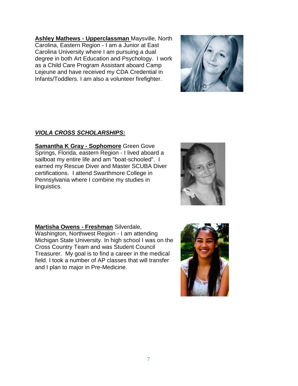**Ashley Mathews - Upperclassman** Maysville, North Carolina, Eastern Region - I am a Junior at East Carolina University where I am pursuing a dual degree in both Art Education and Psychology. I work as a Child Care Program Assistant aboard Camp

Lejeune and have received my CDA Credential in Infants/Toddlers. I am also a volunteer firefighter.

# *VIOLA CROSS SCHOLARSHIPS:*

**Samantha K Gray - Sophomore** Green Gove Springs, Florida, eastern Region - I lived aboard a sailboat my entire life and am "boat-schooled". I earned my Rescue Diver and Master SCUBA Diver certifications. I attend Swarthmore College in Pennsylvania where I combine my studies in linguistics.

**Martisha Owens - Freshman** Silverdale, Washington, Northwest Region - I am attending Michigan State University. In high school I was on the Cross Country Team and was Student Council Treasurer. My goal is to find a career in the medical field. I took a number of AP classes that will transfer and I plan to major in Pre-Medicine.